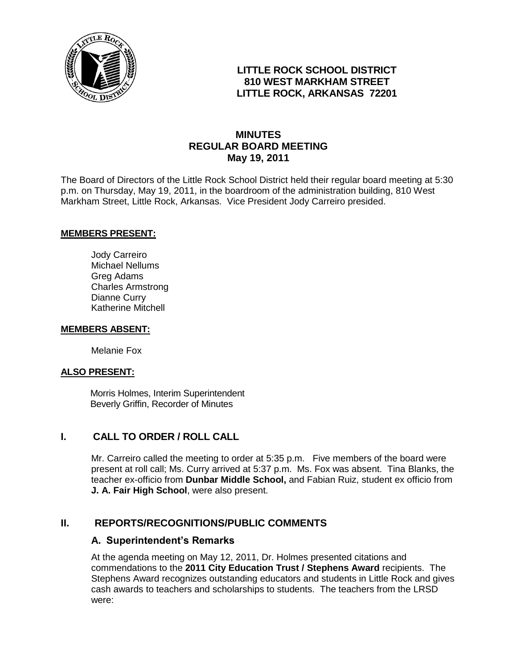

### **LITTLE ROCK SCHOOL DISTRICT 810 WEST MARKHAM STREET LITTLE ROCK, ARKANSAS 72201**

### **MINUTES REGULAR BOARD MEETING May 19, 2011**

The Board of Directors of the Little Rock School District held their regular board meeting at 5:30 p.m. on Thursday, May 19, 2011, in the boardroom of the administration building, 810 West Markham Street, Little Rock, Arkansas. Vice President Jody Carreiro presided.

#### **MEMBERS PRESENT:**

Jody Carreiro Michael Nellums Greg Adams Charles Armstrong Dianne Curry Katherine Mitchell

#### **MEMBERS ABSENT:**

Melanie Fox

#### **ALSO PRESENT:**

 Morris Holmes, Interim Superintendent Beverly Griffin, Recorder of Minutes

### **I. CALL TO ORDER / ROLL CALL**

Mr. Carreiro called the meeting to order at 5:35 p.m. Five members of the board were present at roll call; Ms. Curry arrived at 5:37 p.m. Ms. Fox was absent. Tina Blanks, the teacher ex-officio from **Dunbar Middle School,** and Fabian Ruiz, student ex officio from **J. A. Fair High School**, were also present.

#### **II. REPORTS/RECOGNITIONS/PUBLIC COMMENTS**

#### **A. Superintendent's Remarks**

At the agenda meeting on May 12, 2011, Dr. Holmes presented citations and commendations to the **2011 City Education Trust / Stephens Award** recipients. The Stephens Award recognizes outstanding educators and students in Little Rock and gives cash awards to teachers and scholarships to students. The teachers from the LRSD were: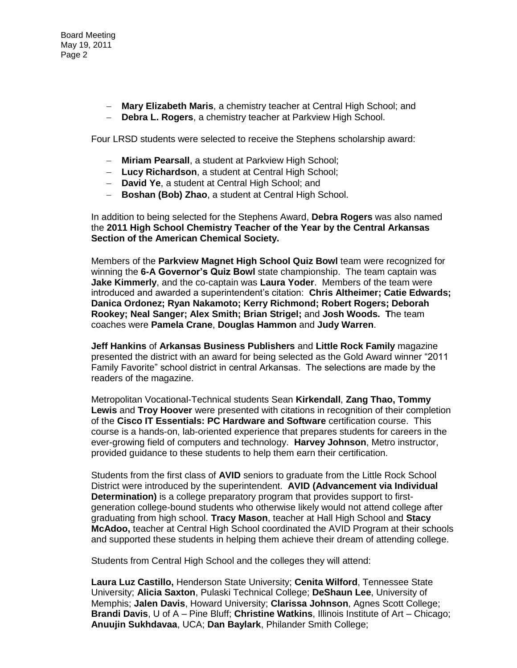Board Meeting May 19, 2011 Page 2

- **Mary Elizabeth Maris**, a chemistry teacher at Central High School; and
- **Debra L. Rogers**, a chemistry teacher at Parkview High School.

Four LRSD students were selected to receive the Stephens scholarship award:

- **Miriam Pearsall**, a student at Parkview High School;
- **Lucy Richardson**, a student at Central High School;
- **David Ye**, a student at Central High School; and
- **Boshan (Bob) Zhao**, a student at Central High School.

In addition to being selected for the Stephens Award, **Debra Rogers** was also named the **2011 High School Chemistry Teacher of the Year by the Central Arkansas Section of the American Chemical Society.** 

Members of the **Parkview Magnet High School Quiz Bowl** team were recognized for winning the **6-A Governor's Quiz Bowl** state championship. The team captain was **Jake Kimmerly**, and the co-captain was **Laura Yoder**. Members of the team were introduced and awarded a superintendent's citation: **Chris Altheimer; Catie Edwards; Danica Ordonez; Ryan Nakamoto; Kerry Richmond; Robert Rogers; Deborah Rookey; Neal Sanger; Alex Smith; Brian Strigel;** and **Josh Woods. T**he team coaches were **Pamela Crane**, **Douglas Hammon** and **Judy Warren**.

**Jeff Hankins** of **Arkansas Business Publishers** and **Little Rock Family** magazine presented the district with an award for being selected as the Gold Award winner "2011 Family Favorite" school district in central Arkansas. The selections are made by the readers of the magazine.

Metropolitan Vocational-Technical students Sean **Kirkendall**, **Zang Thao, Tommy Lewis** and **Troy Hoover** were presented with citations in recognition of their completion of the **Cisco IT Essentials: PC Hardware and Software** certification course. This course is a hands-on, lab-oriented experience that prepares students for careers in the ever-growing field of computers and technology. **Harvey Johnson**, Metro instructor, provided guidance to these students to help them earn their certification.

Students from the first class of **AVID** seniors to graduate from the Little Rock School District were introduced by the superintendent. **AVID (Advancement via Individual Determination)** is a college preparatory program that provides support to firstgeneration college-bound students who otherwise likely would not attend college after graduating from high school. **Tracy Mason**, teacher at Hall High School and **Stacy McAdoo,** teacher at Central High School coordinated the AVID Program at their schools and supported these students in helping them achieve their dream of attending college.

Students from Central High School and the colleges they will attend:

**Laura Luz Castillo,** Henderson State University; **Cenita Wilford**, Tennessee State University; **Alicia Saxton**, Pulaski Technical College; **DeShaun Lee**, University of Memphis; **Jalen Davis**, Howard University; **Clarissa Johnson**, Agnes Scott College; **Brandi Davis**, U of A – Pine Bluff; **Christine Watkins**, Illinois Institute of Art – Chicago; **Anuujin Sukhdavaa**, UCA; **Dan Baylark**, Philander Smith College;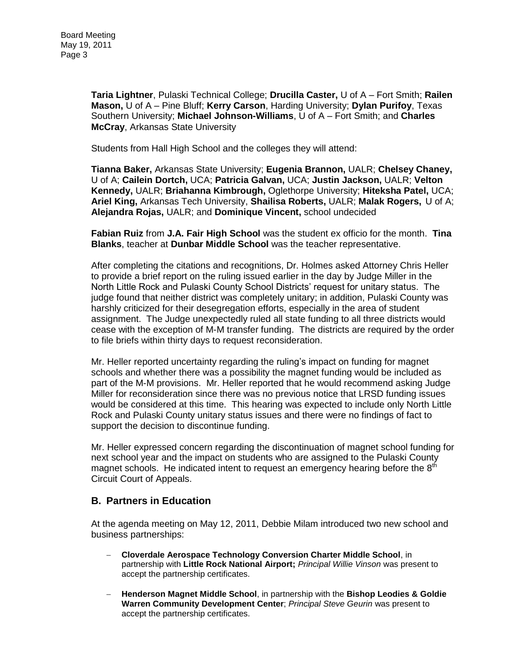**Taria Lightner**, Pulaski Technical College; **Drucilla Caster,** U of A – Fort Smith; **Railen Mason,** U of A – Pine Bluff; **Kerry Carson**, Harding University; **Dylan Purifoy**, Texas Southern University; **Michael Johnson-Williams**, U of A – Fort Smith; and **Charles McCray**, Arkansas State University

Students from Hall High School and the colleges they will attend:

**Tianna Baker,** Arkansas State University; **Eugenia Brannon,** UALR; **Chelsey Chaney,**  U of A; **Cailein Dortch,** UCA; **Patricia Galvan,** UCA; **Justin Jackson,** UALR; **Velton Kennedy,** UALR; **Briahanna Kimbrough,** Oglethorpe University; **Hiteksha Patel,** UCA; **Ariel King,** Arkansas Tech University, **Shailisa Roberts,** UALR; **Malak Rogers,** U of A; **Alejandra Rojas,** UALR; and **Dominique Vincent,** school undecided

**Fabian Ruiz** from **J.A. Fair High School** was the student ex officio for the month. **Tina Blanks**, teacher at **Dunbar Middle School** was the teacher representative.

After completing the citations and recognitions, Dr. Holmes asked Attorney Chris Heller to provide a brief report on the ruling issued earlier in the day by Judge Miller in the North Little Rock and Pulaski County School Districts' request for unitary status. The judge found that neither district was completely unitary; in addition, Pulaski County was harshly criticized for their desegregation efforts, especially in the area of student assignment. The Judge unexpectedly ruled all state funding to all three districts would cease with the exception of M-M transfer funding. The districts are required by the order to file briefs within thirty days to request reconsideration.

Mr. Heller reported uncertainty regarding the ruling's impact on funding for magnet schools and whether there was a possibility the magnet funding would be included as part of the M-M provisions. Mr. Heller reported that he would recommend asking Judge Miller for reconsideration since there was no previous notice that LRSD funding issues would be considered at this time. This hearing was expected to include only North Little Rock and Pulaski County unitary status issues and there were no findings of fact to support the decision to discontinue funding.

Mr. Heller expressed concern regarding the discontinuation of magnet school funding for next school year and the impact on students who are assigned to the Pulaski County magnet schools. He indicated intent to request an emergency hearing before the  $8<sup>th</sup>$ Circuit Court of Appeals.

### **B. Partners in Education**

At the agenda meeting on May 12, 2011, Debbie Milam introduced two new school and business partnerships:

- **Cloverdale Aerospace Technology Conversion Charter Middle School**, in partnership with **Little Rock National Airport;** *Principal Willie Vinson* was present to accept the partnership certificates.
- **Henderson Magnet Middle School**, in partnership with the **Bishop Leodies & Goldie Warren Community Development Center**; *Principal Steve Geurin* was present to accept the partnership certificates.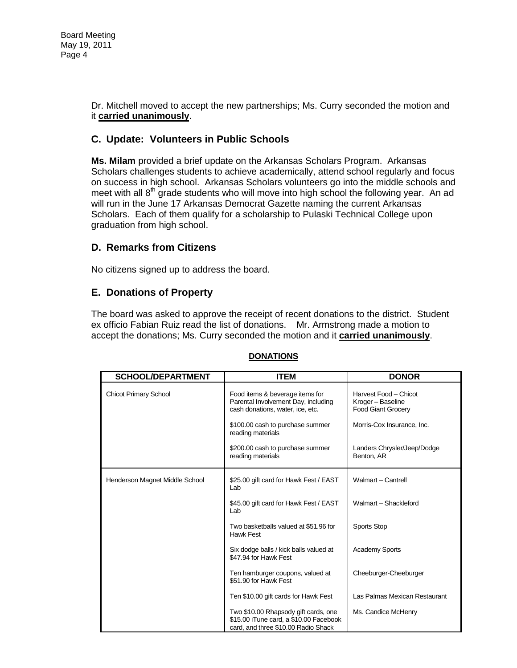Dr. Mitchell moved to accept the new partnerships; Ms. Curry seconded the motion and it **carried unanimously**.

### **C. Update: Volunteers in Public Schools**

**Ms. Milam** provided a brief update on the Arkansas Scholars Program. Arkansas Scholars challenges students to achieve academically, attend school regularly and focus on success in high school. Arkansas Scholars volunteers go into the middle schools and meet with all  $8<sup>th</sup>$  grade students who will move into high school the following year. An ad will run in the June 17 Arkansas Democrat Gazette naming the current Arkansas Scholars. Each of them qualify for a scholarship to Pulaski Technical College upon graduation from high school.

### **D. Remarks from Citizens**

No citizens signed up to address the board.

### **E. Donations of Property**

The board was asked to approve the receipt of recent donations to the district. Student ex officio Fabian Ruiz read the list of donations. Mr. Armstrong made a motion to accept the donations; Ms. Curry seconded the motion and it **carried unanimously**.

| <b>SCHOOL/DEPARTMENT</b>       | <b>ITEM</b>                                                                                                           | <b>DONOR</b>                                                            |
|--------------------------------|-----------------------------------------------------------------------------------------------------------------------|-------------------------------------------------------------------------|
| <b>Chicot Primary School</b>   | Food items & beverage items for<br>Parental Involvement Day, including<br>cash donations, water, ice, etc.            | Harvest Food - Chicot<br>Kroger - Baseline<br><b>Food Giant Grocery</b> |
|                                | \$100.00 cash to purchase summer<br>reading materials                                                                 | Morris-Cox Insurance, Inc.                                              |
|                                | \$200.00 cash to purchase summer<br>reading materials                                                                 | Landers Chrysler/Jeep/Dodge<br>Benton, AR                               |
| Henderson Magnet Middle School | \$25.00 gift card for Hawk Fest / EAST<br>Lab                                                                         | Walmart - Cantrell                                                      |
|                                | \$45.00 gift card for Hawk Fest / EAST<br>Lab                                                                         | Walmart - Shackleford                                                   |
|                                | Two basketballs valued at \$51.96 for<br>Hawk Fest                                                                    | <b>Sports Stop</b>                                                      |
|                                | Six dodge balls / kick balls valued at<br>\$47.94 for Hawk Fest                                                       | <b>Academy Sports</b>                                                   |
|                                | Ten hamburger coupons, valued at<br>\$51.90 for Hawk Fest                                                             | Cheeburger-Cheeburger                                                   |
|                                | Ten \$10.00 gift cards for Hawk Fest                                                                                  | Las Palmas Mexican Restaurant                                           |
|                                | Two \$10.00 Rhapsody gift cards, one<br>\$15.00 iTune card, a \$10.00 Facebook<br>card, and three \$10.00 Radio Shack | Ms. Candice McHenry                                                     |

#### **DONATIONS**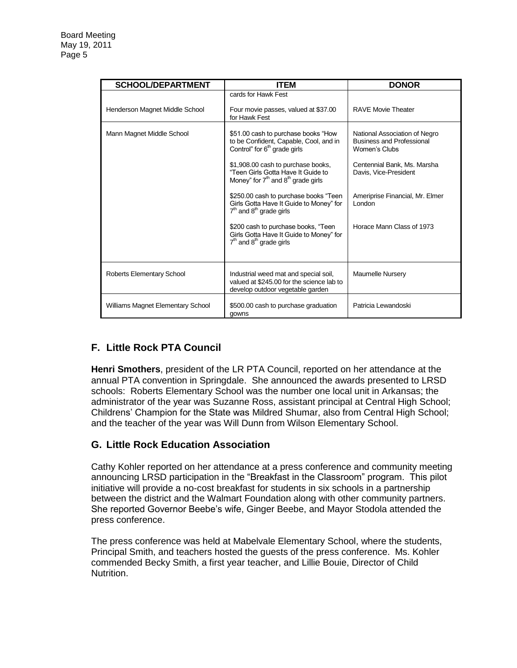| <b>SCHOOL/DEPARTMENT</b>          | <b>ITEM</b>                                                                                                               | <b>DONOR</b>                                                                       |
|-----------------------------------|---------------------------------------------------------------------------------------------------------------------------|------------------------------------------------------------------------------------|
|                                   | cards for Hawk Fest                                                                                                       |                                                                                    |
| Henderson Magnet Middle School    | Four movie passes, valued at \$37.00<br>for Hawk Fest                                                                     | <b>RAVE Movie Theater</b>                                                          |
| Mann Magnet Middle School         | \$51.00 cash to purchase books "How<br>to be Confident, Capable, Cool, and in<br>Control" for 6 <sup>th</sup> grade girls | National Association of Negro<br><b>Business and Professional</b><br>Women's Clubs |
|                                   | \$1,908.00 cash to purchase books,<br>"Teen Girls Gotta Have It Guide to<br>Money" for $7th$ and $8th$ grade girls        | Centennial Bank, Ms. Marsha<br>Davis, Vice-President                               |
|                                   | \$250.00 cash to purchase books "Teen"<br>Girls Gotta Have It Guide to Money" for<br>$7th$ and $8th$ grade girls          | Ameriprise Financial, Mr. Elmer<br>London                                          |
|                                   | \$200 cash to purchase books, "Teen"<br>Girls Gotta Have It Guide to Money" for<br>$7th$ and $8th$ grade girls            | Horace Mann Class of 1973                                                          |
| Roberts Elementary School         | Industrial weed mat and special soil,<br>valued at \$245.00 for the science lab to<br>develop outdoor vegetable garden    | <b>Maumelle Nursery</b>                                                            |
| Williams Magnet Elementary School | \$500.00 cash to purchase graduation<br>gowns                                                                             | Patricia Lewandoski                                                                |

# **F. Little Rock PTA Council**

**Henri Smothers**, president of the LR PTA Council, reported on her attendance at the annual PTA convention in Springdale. She announced the awards presented to LRSD schools: Roberts Elementary School was the number one local unit in Arkansas; the administrator of the year was Suzanne Ross, assistant principal at Central High School; Childrens' Champion for the State was Mildred Shumar, also from Central High School; and the teacher of the year was Will Dunn from Wilson Elementary School.

# **G. Little Rock Education Association**

Cathy Kohler reported on her attendance at a press conference and community meeting announcing LRSD participation in the "Breakfast in the Classroom" program. This pilot initiative will provide a no-cost breakfast for students in six schools in a partnership between the district and the Walmart Foundation along with other community partners. She reported Governor Beebe's wife, Ginger Beebe, and Mayor Stodola attended the press conference.

The press conference was held at Mabelvale Elementary School, where the students, Principal Smith, and teachers hosted the guests of the press conference. Ms. Kohler commended Becky Smith, a first year teacher, and Lillie Bouie, Director of Child Nutrition.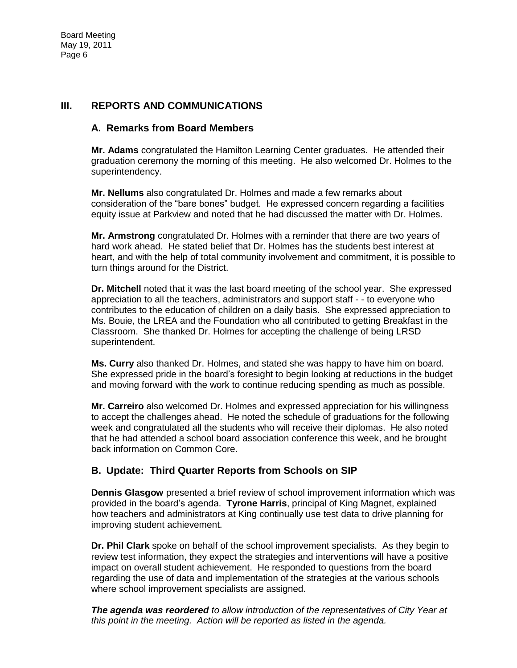### **III. REPORTS AND COMMUNICATIONS**

### **A. Remarks from Board Members**

**Mr. Adams** congratulated the Hamilton Learning Center graduates. He attended their graduation ceremony the morning of this meeting. He also welcomed Dr. Holmes to the superintendency.

**Mr. Nellums** also congratulated Dr. Holmes and made a few remarks about consideration of the "bare bones" budget. He expressed concern regarding a facilities equity issue at Parkview and noted that he had discussed the matter with Dr. Holmes.

**Mr. Armstrong** congratulated Dr. Holmes with a reminder that there are two years of hard work ahead. He stated belief that Dr. Holmes has the students best interest at heart, and with the help of total community involvement and commitment, it is possible to turn things around for the District.

**Dr. Mitchell** noted that it was the last board meeting of the school year. She expressed appreciation to all the teachers, administrators and support staff - - to everyone who contributes to the education of children on a daily basis. She expressed appreciation to Ms. Bouie, the LREA and the Foundation who all contributed to getting Breakfast in the Classroom. She thanked Dr. Holmes for accepting the challenge of being LRSD superintendent.

**Ms. Curry** also thanked Dr. Holmes, and stated she was happy to have him on board. She expressed pride in the board's foresight to begin looking at reductions in the budget and moving forward with the work to continue reducing spending as much as possible.

**Mr. Carreiro** also welcomed Dr. Holmes and expressed appreciation for his willingness to accept the challenges ahead. He noted the schedule of graduations for the following week and congratulated all the students who will receive their diplomas. He also noted that he had attended a school board association conference this week, and he brought back information on Common Core.

# **B. Update: Third Quarter Reports from Schools on SIP**

**Dennis Glasgow** presented a brief review of school improvement information which was provided in the board's agenda. **Tyrone Harris**, principal of King Magnet, explained how teachers and administrators at King continually use test data to drive planning for improving student achievement.

**Dr. Phil Clark** spoke on behalf of the school improvement specialists. As they begin to review test information, they expect the strategies and interventions will have a positive impact on overall student achievement. He responded to questions from the board regarding the use of data and implementation of the strategies at the various schools where school improvement specialists are assigned.

*The agenda was reordered to allow introduction of the representatives of City Year at this point in the meeting. Action will be reported as listed in the agenda.*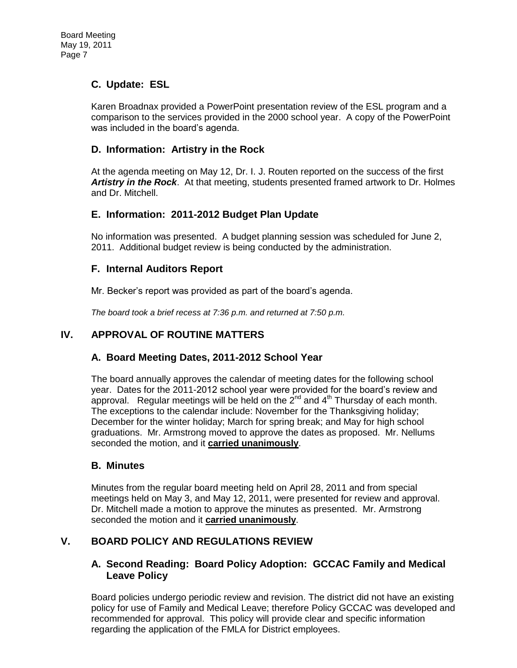### **C. Update: ESL**

Karen Broadnax provided a PowerPoint presentation review of the ESL program and a comparison to the services provided in the 2000 school year. A copy of the PowerPoint was included in the board's agenda.

### **D. Information: Artistry in the Rock**

At the agenda meeting on May 12, Dr. I. J. Routen reported on the success of the first *Artistry in the Rock*. At that meeting, students presented framed artwork to Dr. Holmes and Dr. Mitchell.

### **E. Information: 2011-2012 Budget Plan Update**

No information was presented. A budget planning session was scheduled for June 2, 2011. Additional budget review is being conducted by the administration.

### **F. Internal Auditors Report**

Mr. Becker's report was provided as part of the board's agenda.

*The board took a brief recess at 7:36 p.m. and returned at 7:50 p.m.* 

### **IV. APPROVAL OF ROUTINE MATTERS**

#### **A. Board Meeting Dates, 2011-2012 School Year**

The board annually approves the calendar of meeting dates for the following school year. Dates for the 2011-2012 school year were provided for the board's review and approval. Regular meetings will be held on the  $2^{nd}$  and  $4^{th}$  Thursday of each month. The exceptions to the calendar include: November for the Thanksgiving holiday; December for the winter holiday; March for spring break; and May for high school graduations. Mr. Armstrong moved to approve the dates as proposed. Mr. Nellums seconded the motion, and it **carried unanimously**.

#### **B. Minutes**

Minutes from the regular board meeting held on April 28, 2011 and from special meetings held on May 3, and May 12, 2011, were presented for review and approval. Dr. Mitchell made a motion to approve the minutes as presented. Mr. Armstrong seconded the motion and it **carried unanimously**.

### **V. BOARD POLICY AND REGULATIONS REVIEW**

### **A. Second Reading: Board Policy Adoption: GCCAC Family and Medical Leave Policy**

Board policies undergo periodic review and revision. The district did not have an existing policy for use of Family and Medical Leave; therefore Policy GCCAC was developed and recommended for approval. This policy will provide clear and specific information regarding the application of the FMLA for District employees.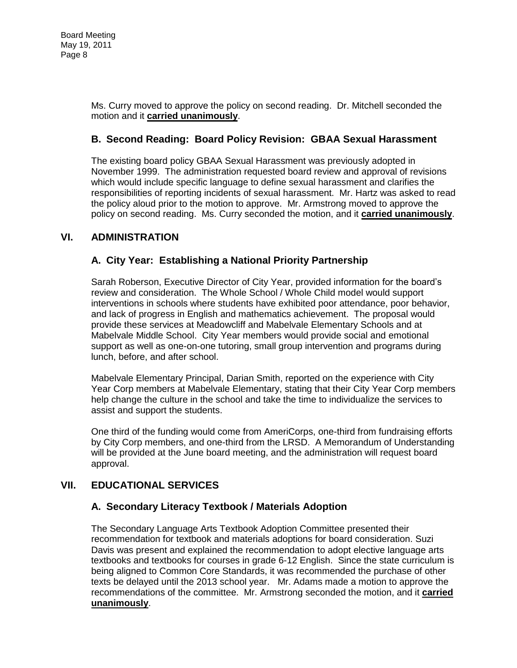Ms. Curry moved to approve the policy on second reading. Dr. Mitchell seconded the motion and it **carried unanimously**.

### **B. Second Reading: Board Policy Revision: GBAA Sexual Harassment**

The existing board policy GBAA Sexual Harassment was previously adopted in November 1999. The administration requested board review and approval of revisions which would include specific language to define sexual harassment and clarifies the responsibilities of reporting incidents of sexual harassment. Mr. Hartz was asked to read the policy aloud prior to the motion to approve. Mr. Armstrong moved to approve the policy on second reading. Ms. Curry seconded the motion, and it **carried unanimously**.

### **VI. ADMINISTRATION**

# **A. City Year: Establishing a National Priority Partnership**

Sarah Roberson, Executive Director of City Year, provided information for the board's review and consideration. The Whole School / Whole Child model would support interventions in schools where students have exhibited poor attendance, poor behavior, and lack of progress in English and mathematics achievement. The proposal would provide these services at Meadowcliff and Mabelvale Elementary Schools and at Mabelvale Middle School. City Year members would provide social and emotional support as well as one-on-one tutoring, small group intervention and programs during lunch, before, and after school.

Mabelvale Elementary Principal, Darian Smith, reported on the experience with City Year Corp members at Mabelvale Elementary, stating that their City Year Corp members help change the culture in the school and take the time to individualize the services to assist and support the students.

One third of the funding would come from AmeriCorps, one-third from fundraising efforts by City Corp members, and one-third from the LRSD. A Memorandum of Understanding will be provided at the June board meeting, and the administration will request board approval.

### **VII. EDUCATIONAL SERVICES**

### **A. Secondary Literacy Textbook / Materials Adoption**

The Secondary Language Arts Textbook Adoption Committee presented their recommendation for textbook and materials adoptions for board consideration. Suzi Davis was present and explained the recommendation to adopt elective language arts textbooks and textbooks for courses in grade 6-12 English. Since the state curriculum is being aligned to Common Core Standards, it was recommended the purchase of other texts be delayed until the 2013 school year. Mr. Adams made a motion to approve the recommendations of the committee. Mr. Armstrong seconded the motion, and it **carried unanimously**.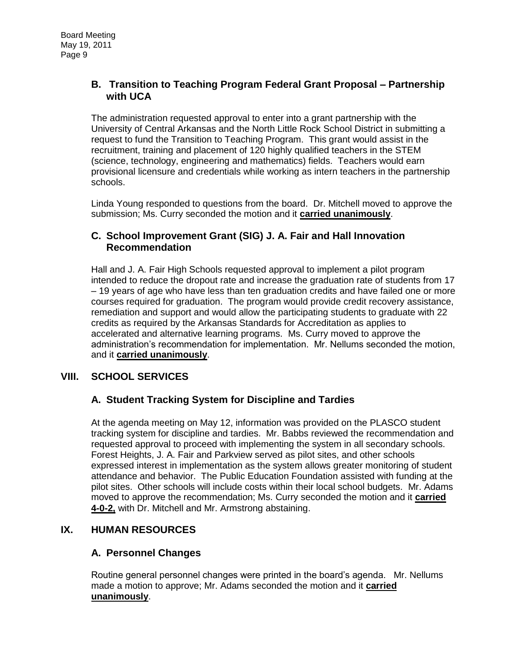### **B. Transition to Teaching Program Federal Grant Proposal – Partnership with UCA**

The administration requested approval to enter into a grant partnership with the University of Central Arkansas and the North Little Rock School District in submitting a request to fund the Transition to Teaching Program. This grant would assist in the recruitment, training and placement of 120 highly qualified teachers in the STEM (science, technology, engineering and mathematics) fields. Teachers would earn provisional licensure and credentials while working as intern teachers in the partnership schools.

Linda Young responded to questions from the board. Dr. Mitchell moved to approve the submission; Ms. Curry seconded the motion and it **carried unanimously**.

### **C. School Improvement Grant (SIG) J. A. Fair and Hall Innovation Recommendation**

Hall and J. A. Fair High Schools requested approval to implement a pilot program intended to reduce the dropout rate and increase the graduation rate of students from 17 – 19 years of age who have less than ten graduation credits and have failed one or more courses required for graduation. The program would provide credit recovery assistance, remediation and support and would allow the participating students to graduate with 22 credits as required by the Arkansas Standards for Accreditation as applies to accelerated and alternative learning programs. Ms. Curry moved to approve the administration's recommendation for implementation. Mr. Nellums seconded the motion, and it **carried unanimously**.

# **VIII. SCHOOL SERVICES**

# **A. Student Tracking System for Discipline and Tardies**

At the agenda meeting on May 12, information was provided on the PLASCO student tracking system for discipline and tardies. Mr. Babbs reviewed the recommendation and requested approval to proceed with implementing the system in all secondary schools. Forest Heights, J. A. Fair and Parkview served as pilot sites, and other schools expressed interest in implementation as the system allows greater monitoring of student attendance and behavior. The Public Education Foundation assisted with funding at the pilot sites. Other schools will include costs within their local school budgets. Mr. Adams moved to approve the recommendation; Ms. Curry seconded the motion and it **carried 4-0-2,** with Dr. Mitchell and Mr. Armstrong abstaining.

### **IX. HUMAN RESOURCES**

# **A. Personnel Changes**

Routine general personnel changes were printed in the board's agenda. Mr. Nellums made a motion to approve; Mr. Adams seconded the motion and it **carried unanimously**.